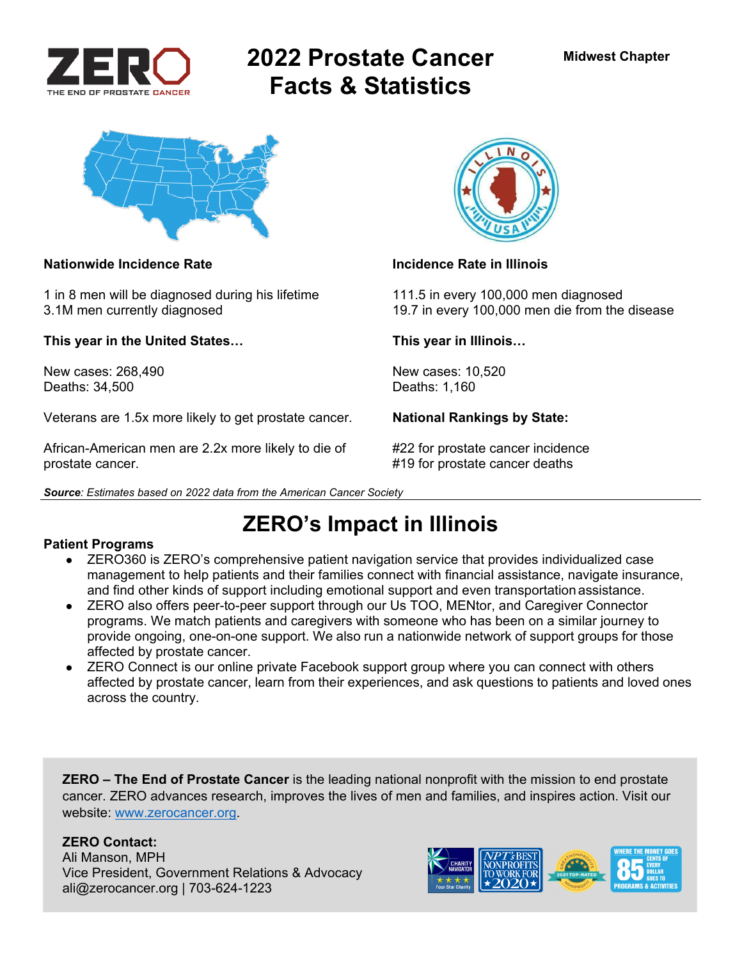

# **2022 Prostate Cancer Facts & Statistics**



### **Nationwide Incidence Rate Incidence Rate in Illinois**

1 in 8 men will be diagnosed during his lifetime 111.5 in every 100,000 men diagnosed

**This year in the United States… This year in Illinois…** 

New cases: 268,490 New cases: 10,520 Deaths: 34,500 Deaths: 1,160

Veterans are 1.5x more likely to get prostate cancer. **National Rankings by State:** 

African-American men are 2.2x more likely to die of #22 for prostate cancer incidence prostate cancer. #19 for prostate cancer deaths

*Source: Estimates based on 2022 data from the American Cancer Society* 



3.1M men currently diagnosed 19.7 in every 100,000 men die from the disease

## **ZERO's Impact in Illinois**

### **Patient Programs**

- ZERO360 is ZERO's comprehensive patient navigation service that provides individualized case management to help patients and their families connect with financial assistance, navigate insurance, and find other kinds of support including emotional support and even transportation assistance.
- ZERO also offers peer-to-peer support through our Us TOO, MENtor, and Caregiver Connector programs. We match patients and caregivers with someone who has been on a similar journey to provide ongoing, one-on-one support. We also run a nationwide network of support groups for those affected by prostate cancer.
- ZERO Connect is our online private Facebook support group where you can connect with others affected by prostate cancer, learn from their experiences, and ask questions to patients and loved ones across the country.

**ZERO – The End of Prostate Cancer** is the leading national nonprofit with the mission to end prostate cancer. ZERO advances research, improves the lives of men and families, and inspires action. Visit our website: www.zerocancer.org.

### **ZERO Contact:**

Ali Manson, MPH Vice President, Government Relations & Advocacy ali@zerocancer.org | 703-624-1223